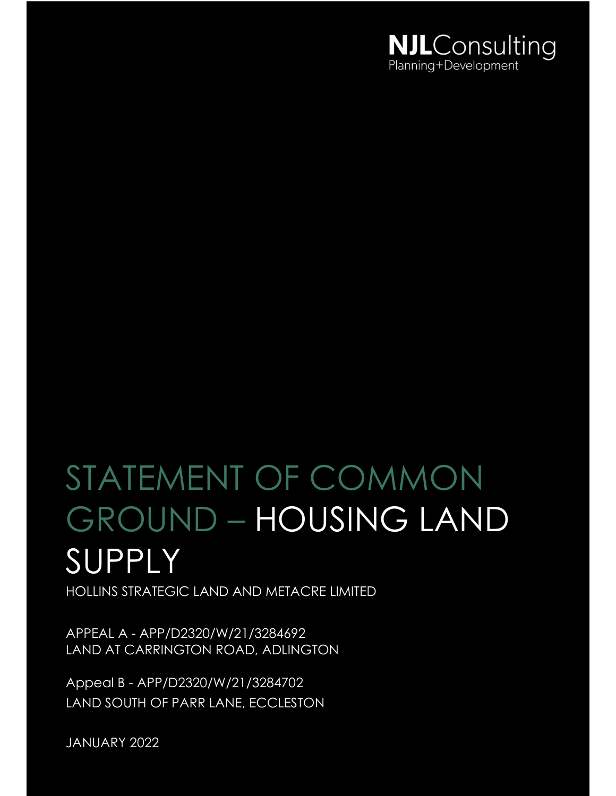

# STATEMENT OF COMMON GROUND – HOUSING LAND **SUPPLY**

HOLLINS STRATEGIC LAND AND METACRE LIMITED

APPEAL A - APP/D2320/W/21/3284692 LAND AT CARRINGTON ROAD, ADLINGTON

Appeal B - APP/D2320/W/21/3284702 LAND SOUTH OF PARR LANE, ECCLESTON

JANUARY 2022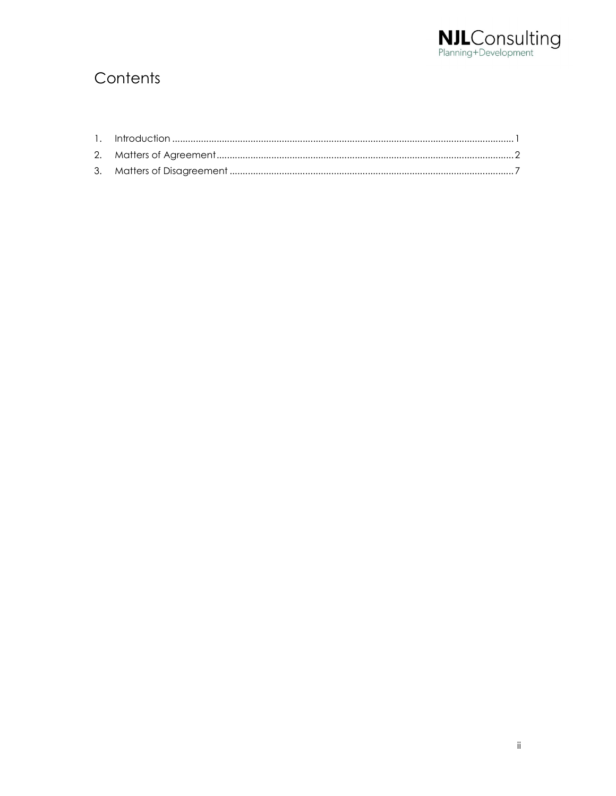

# Contents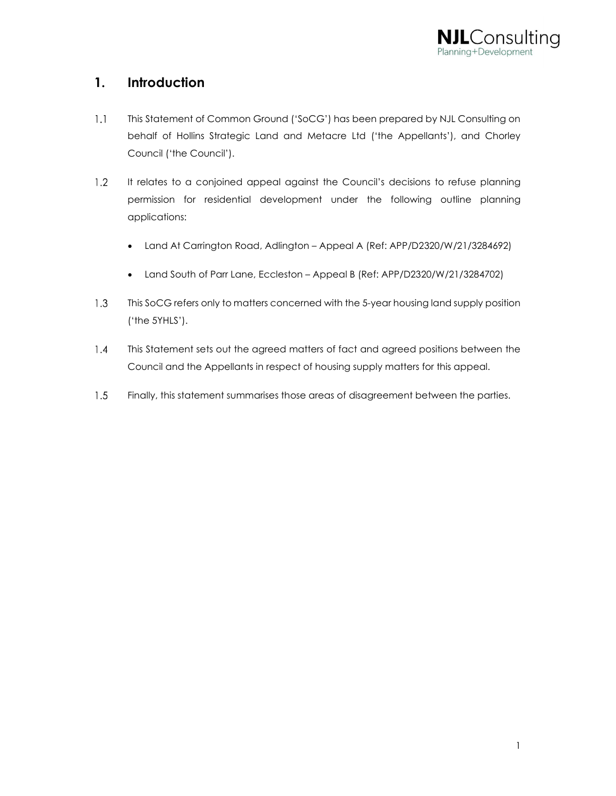

# 1. Introduction

- $1.1$ This Statement of Common Ground ('SoCG') has been prepared by NJL Consulting on behalf of Hollins Strategic Land and Metacre Ltd ('the Appellants'), and Chorley Council ('the Council').
- $1.2$ It relates to a conjoined appeal against the Council's decisions to refuse planning permission for residential development under the following outline planning applications:
	- Land At Carrington Road, Adlington Appeal A (Ref: APP/D2320/W/21/3284692)
	- Land South of Parr Lane, Eccleston Appeal B (Ref: APP/D2320/W/21/3284702)
- $1.3$ This SoCG refers only to matters concerned with the 5-year housing land supply position ('the 5YHLS').
- $1.4$ This Statement sets out the agreed matters of fact and agreed positions between the Council and the Appellants in respect of housing supply matters for this appeal.
- $1.5$ Finally, this statement summarises those areas of disagreement between the parties.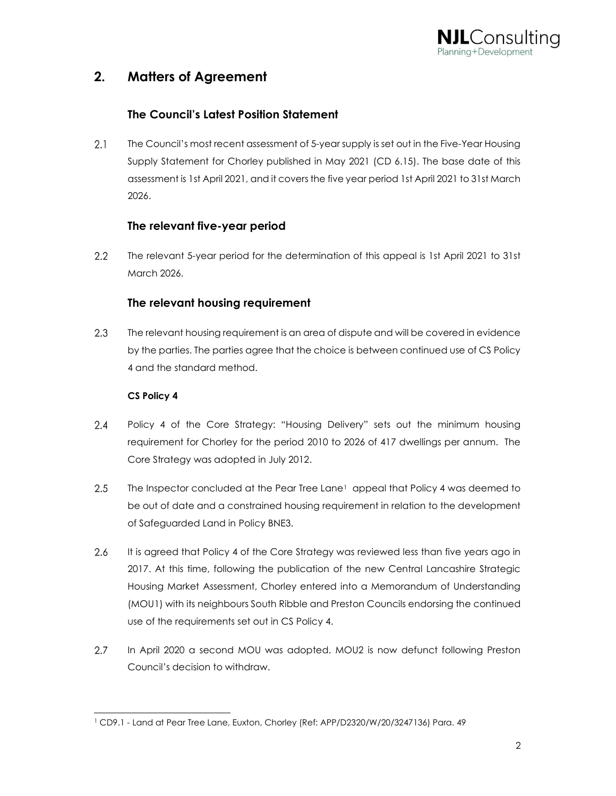

# 2. Matters of Agreement

#### The Council's Latest Position Statement

 $2.1$ The Council's most recent assessment of 5-year supply is set out in the Five-Year Housing Supply Statement for Chorley published in May 2021 (CD 6.15). The base date of this assessment is 1st April 2021, and it covers the five year period 1st April 2021 to 31st March 2026.

#### The relevant five-year period

 $2.2$ The relevant 5-year period for the determination of this appeal is 1st April 2021 to 31st March 2026.

#### The relevant housing requirement

 $2.3$ The relevant housing requirement is an area of dispute and will be covered in evidence by the parties. The parties agree that the choice is between continued use of CS Policy 4 and the standard method.

#### CS Policy 4

- $2.4$ Policy 4 of the Core Strategy: "Housing Delivery" sets out the minimum housing requirement for Chorley for the period 2010 to 2026 of 417 dwellings per annum. The Core Strategy was adopted in July 2012.
- $2.5$ The Inspector concluded at the Pear Tree Lane<sup>1</sup> appeal that Policy 4 was deemed to be out of date and a constrained housing requirement in relation to the development of Safeguarded Land in Policy BNE3.
- 2.6 It is agreed that Policy 4 of the Core Strategy was reviewed less than five years ago in 2017. At this time, following the publication of the new Central Lancashire Strategic Housing Market Assessment, Chorley entered into a Memorandum of Understanding (MOU1) with its neighbours South Ribble and Preston Councils endorsing the continued use of the requirements set out in CS Policy 4.
- $2.7$ In April 2020 a second MOU was adopted. MOU2 is now defunct following Preston Council's decision to withdraw.

<sup>1</sup> CD9.1 - Land at Pear Tree Lane, Euxton, Chorley (Ref: APP/D2320/W/20/3247136) Para. 49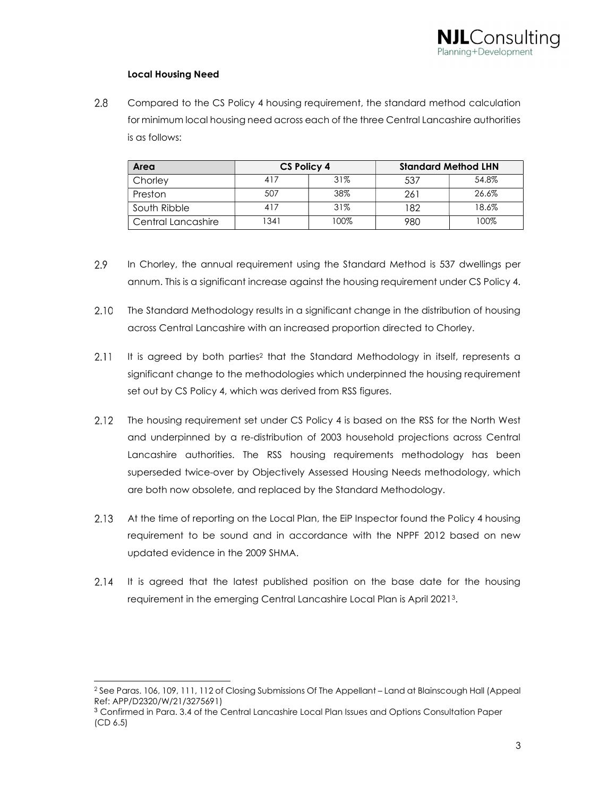#### Local Housing Need

 $2.8$ Compared to the CS Policy 4 housing requirement, the standard method calculation for minimum local housing need across each of the three Central Lancashire authorities is as follows:

| Area               | CS Policy 4 |      | <b>Standard Method LHN</b> |       |
|--------------------|-------------|------|----------------------------|-------|
| Chorley            | 417         | 31%  | 537                        | 54.8% |
| Preston            | 507         | 38%  | 261                        | 26.6% |
| South Ribble       | 417         | 31%  | 182                        | 18.6% |
| Central Lancashire | 1341        | 100% | 980                        | 100%  |

- 2.9 In Chorley, the annual requirement using the Standard Method is 537 dwellings per annum. This is a significant increase against the housing requirement under CS Policy 4.
- 2.10 The Standard Methodology results in a significant change in the distribution of housing across Central Lancashire with an increased proportion directed to Chorley.
- $2.11$ It is agreed by both parties<sup>2</sup> that the Standard Methodology in itself, represents a significant change to the methodologies which underpinned the housing requirement set out by CS Policy 4, which was derived from RSS figures.
- $2.12$ The housing requirement set under CS Policy 4 is based on the RSS for the North West and underpinned by a re-distribution of 2003 household projections across Central Lancashire authorities. The RSS housing requirements methodology has been superseded twice-over by Objectively Assessed Housing Needs methodology, which are both now obsolete, and replaced by the Standard Methodology.
- 2.13 At the time of reporting on the Local Plan, the EiP Inspector found the Policy 4 housing requirement to be sound and in accordance with the NPPF 2012 based on new updated evidence in the 2009 SHMA.
- $2.14$ It is agreed that the latest published position on the base date for the housing requirement in the emerging Central Lancashire Local Plan is April 20213.

<sup>2</sup> See Paras. 106, 109, 111, 112 of Closing Submissions Of The Appellant – Land at Blainscough Hall (Appeal Ref: APP/D2320/W/21/3275691)

<sup>3</sup> Confirmed in Para. 3.4 of the Central Lancashire Local Plan Issues and Options Consultation Paper (CD 6.5)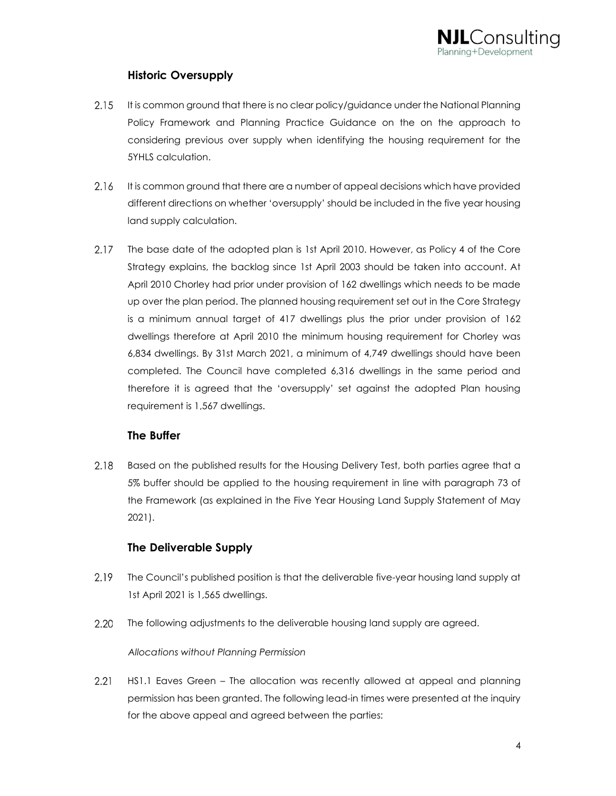

#### Historic Oversupply

- $2.15$ It is common ground that there is no clear policy/guidance under the National Planning Policy Framework and Planning Practice Guidance on the on the approach to considering previous over supply when identifying the housing requirement for the 5YHLS calculation.
- $2.16$ It is common ground that there are a number of appeal decisions which have provided different directions on whether 'oversupply' should be included in the five year housing land supply calculation.
- 2.17 The base date of the adopted plan is 1st April 2010. However, as Policy 4 of the Core Strategy explains, the backlog since 1st April 2003 should be taken into account. At April 2010 Chorley had prior under provision of 162 dwellings which needs to be made up over the plan period. The planned housing requirement set out in the Core Strategy is a minimum annual target of 417 dwellings plus the prior under provision of 162 dwellings therefore at April 2010 the minimum housing requirement for Chorley was 6,834 dwellings. By 31st March 2021, a minimum of 4,749 dwellings should have been completed. The Council have completed 6,316 dwellings in the same period and therefore it is agreed that the 'oversupply' set against the adopted Plan housing requirement is 1,567 dwellings.

#### The Buffer

2.18 Based on the published results for the Housing Delivery Test, both parties agree that a 5% buffer should be applied to the housing requirement in line with paragraph 73 of the Framework (as explained in the Five Year Housing Land Supply Statement of May 2021).

#### The Deliverable Supply

- 2.19 The Council's published position is that the deliverable five-year housing land supply at 1st April 2021 is 1,565 dwellings.
- 2.20 The following adjustments to the deliverable housing land supply are agreed.

#### Allocations without Planning Permission

 $2.21$ HS1.1 Eaves Green – The allocation was recently allowed at appeal and planning permission has been granted. The following lead-in times were presented at the inquiry for the above appeal and agreed between the parties: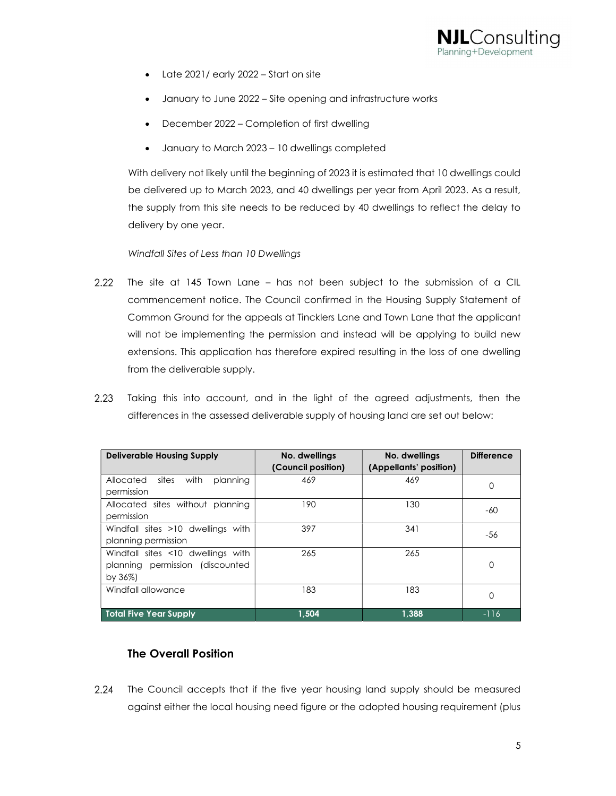

- Late 2021/ early 2022 Start on site
- January to June 2022 Site opening and infrastructure works
- December 2022 Completion of first dwelling
- January to March 2023 10 dwellings completed

With delivery not likely until the beginning of 2023 it is estimated that 10 dwellings could be delivered up to March 2023, and 40 dwellings per year from April 2023. As a result, the supply from this site needs to be reduced by 40 dwellings to reflect the delay to delivery by one year.

#### Windfall Sites of Less than 10 Dwellings

- $2.22$ The site at 145 Town Lane – has not been subject to the submission of a CIL commencement notice. The Council confirmed in the Housing Supply Statement of Common Ground for the appeals at Tincklers Lane and Town Lane that the applicant will not be implementing the permission and instead will be applying to build new extensions. This application has therefore expired resulting in the loss of one dwelling from the deliverable supply.
- $2.23$ Taking this into account, and in the light of the agreed adjustments, then the differences in the assessed deliverable supply of housing land are set out below:

| <b>Deliverable Housing Supply</b>                                                 | No. dwellings<br>(Council position) | No. dwellings<br>(Appellants' position) | <b>Difference</b> |
|-----------------------------------------------------------------------------------|-------------------------------------|-----------------------------------------|-------------------|
| Allocated<br>with<br>planning<br>sites<br>permission                              | 469                                 | 469                                     | 0                 |
| Allocated sites without planning<br>permission                                    | 190                                 | 130                                     | $-60$             |
| Windfall sites >10 dwellings with<br>planning permission                          | 397                                 | 341                                     | -56               |
| Windfall sites <10 dwellings with<br>planning permission (discounted<br>by $36\%$ | 265                                 | 265                                     | $\Omega$          |
| Windfall allowance                                                                | 183                                 | 183                                     | 0                 |
| <b>Total Five Year Supply</b>                                                     | 1.504                               | 1.388                                   | -116              |

#### The Overall Position

 $2.24$ The Council accepts that if the five year housing land supply should be measured against either the local housing need figure or the adopted housing requirement (plus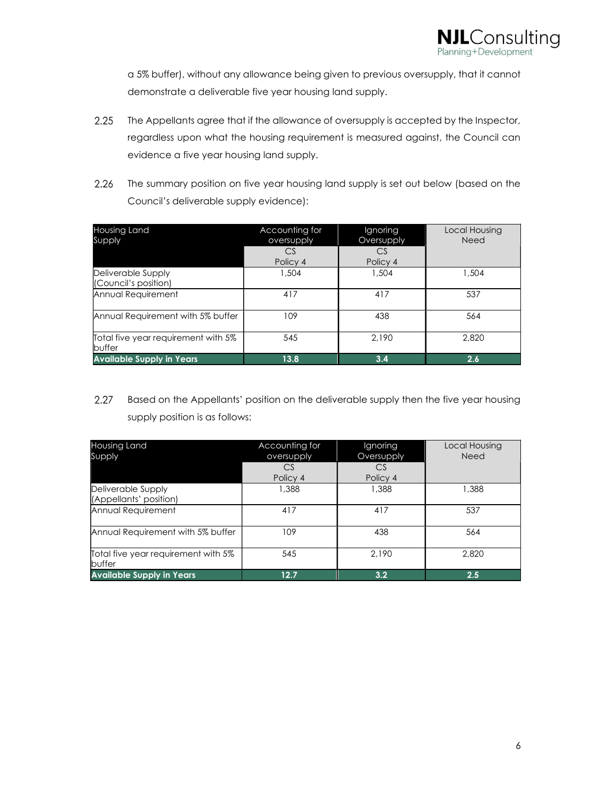

a 5% buffer), without any allowance being given to previous oversupply, that it cannot demonstrate a deliverable five year housing land supply.

- $2.25$ The Appellants agree that if the allowance of oversupply is accepted by the Inspector, regardless upon what the housing requirement is measured against, the Council can evidence a five year housing land supply.
- $2.26$ The summary position on five year housing land supply is set out below (based on the Council's deliverable supply evidence):

| Housing Land<br>Supply                        | Accounting for<br>oversupply | Ignoring<br><b>Oversupply</b> | Local Housing<br>Need |
|-----------------------------------------------|------------------------------|-------------------------------|-----------------------|
|                                               | CS                           | CS                            |                       |
|                                               | Policy 4                     | Policy 4                      |                       |
| Deliverable Supply                            | 1,504                        | 1,504                         | 1.504                 |
| (Council's position)                          |                              |                               |                       |
| Annual Requirement                            | 417                          | 417                           | 537                   |
| Annual Requirement with 5% buffer             | 109                          | 438                           | 564                   |
| Total five year requirement with 5%<br>buffer | 545                          | 2.190                         | 2,820                 |
| <b>Available Supply in Years</b>              | 13.8                         | 3.4                           | 2.6                   |

2.27 Based on the Appellants' position on the deliverable supply then the five year housing supply position is as follows:

| Housing Land                                  | Accounting for | Ignoring   | Local Housing |
|-----------------------------------------------|----------------|------------|---------------|
| Supply                                        | oversupply     | Oversupply | Need          |
|                                               | CS             | CS         |               |
|                                               | Policy 4       | Policy 4   |               |
| Deliverable Supply                            | 1,388          | 1,388      | 1,388         |
| (Appellants' position)                        |                |            |               |
| Annual Requirement                            | 417            | 417        | 537           |
| Annual Requirement with 5% buffer             | 109            | 438        | 564           |
| Total five year requirement with 5%<br>buffer | 545            | 2.190      | 2,820         |
| <b>Available Supply in Years</b>              | 12.7           | 3.2        | 2.5           |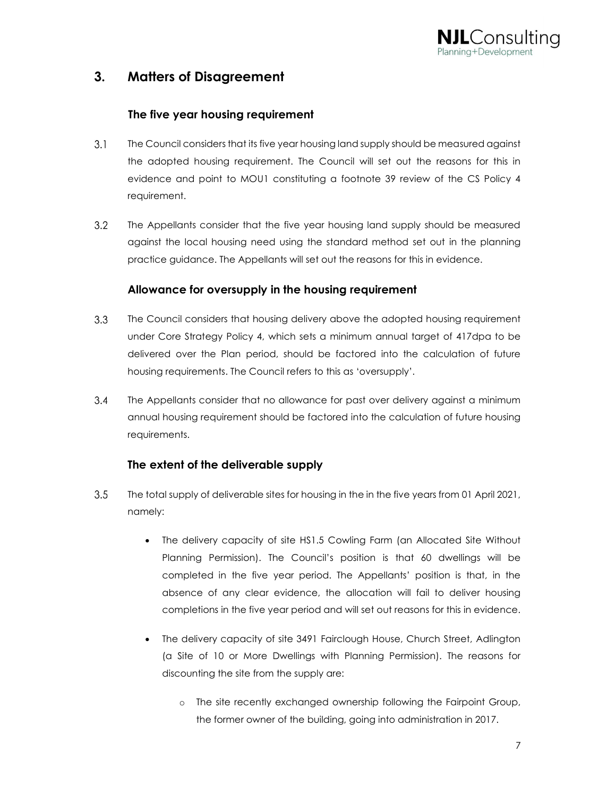

### 3. Matters of Disagreement

#### The five year housing requirement

- $3.1$ The Council considers that its five year housing land supply should be measured against the adopted housing requirement. The Council will set out the reasons for this in evidence and point to MOU1 constituting a footnote 39 review of the CS Policy 4 requirement.
- $3.2$ The Appellants consider that the five year housing land supply should be measured against the local housing need using the standard method set out in the planning practice guidance. The Appellants will set out the reasons for this in evidence.

#### Allowance for oversupply in the housing requirement

- $3.3$ The Council considers that housing delivery above the adopted housing requirement under Core Strategy Policy 4, which sets a minimum annual target of 417dpa to be delivered over the Plan period, should be factored into the calculation of future housing requirements. The Council refers to this as 'oversupply'.
- $3.4$ The Appellants consider that no allowance for past over delivery against a minimum annual housing requirement should be factored into the calculation of future housing requirements.

#### The extent of the deliverable supply

- $3.5$ The total supply of deliverable sites for housing in the in the five years from 01 April 2021, namely:
	- The delivery capacity of site HS1.5 Cowling Farm (an Allocated Site Without Planning Permission). The Council's position is that 60 dwellings will be completed in the five year period. The Appellants' position is that, in the absence of any clear evidence, the allocation will fail to deliver housing completions in the five year period and will set out reasons for this in evidence.
	- The delivery capacity of site 3491 Fairclough House, Church Street, Adlington (a Site of 10 or More Dwellings with Planning Permission). The reasons for discounting the site from the supply are:
		- o The site recently exchanged ownership following the Fairpoint Group, the former owner of the building, going into administration in 2017.